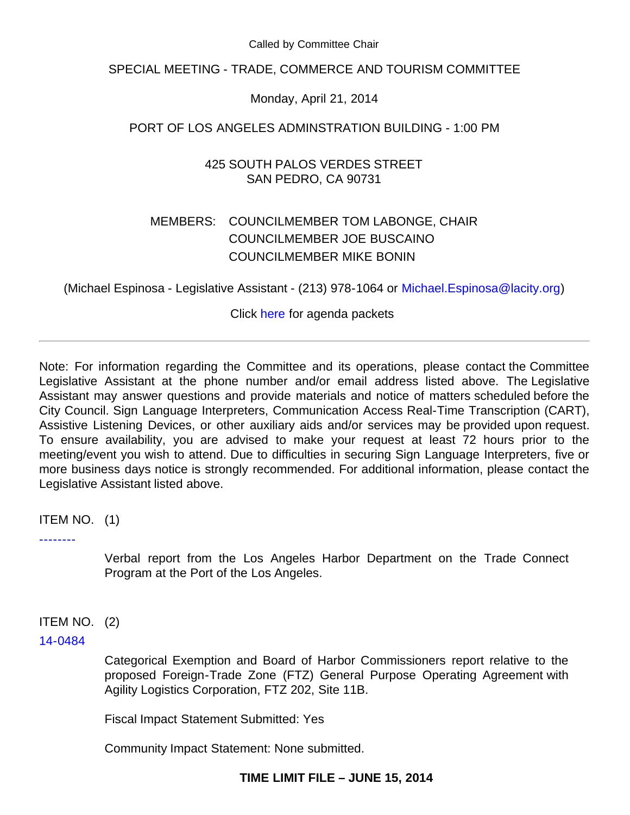Called by Committee Chair

SPECIAL MEETING - TRADE, COMMERCE AND TOURISM COMMITTEE

Monday, April 21, 2014

PORT OF LOS ANGELES ADMINSTRATION BUILDING - 1:00 PM

425 SOUTH PALOS VERDES STREET SAN PEDRO, CA 90731

# MEMBERS: COUNCILMEMBER TOM LABONGE, CHAIR COUNCILMEMBER JOE BUSCAINO COUNCILMEMBER MIKE BONIN

(Michael Espinosa - Legislative Assistant - (213) 978-1064 or [Michael.Espinosa@lacity.org\)](mailto:Michael.Espinosa@lacity.org)

Click [here](http://cityclerk.lacity.org/councilagenda/) for agenda packets

Note: For information regarding the Committee and its operations, please contact the Committee Legislative Assistant at the phone number and/or email address listed above. The Legislative Assistant may answer questions and provide materials and notice of matters scheduled before the City Council. Sign Language Interpreters, Communication Access Real-Time Transcription (CART), Assistive Listening Devices, or other auxiliary aids and/or services may be provided upon request. To ensure availability, you are advised to make your request at least 72 hours prior to the meeting/event you wish to attend. Due to difficulties in securing Sign Language Interpreters, five or more business days notice is strongly recommended. For additional information, please contact the Legislative Assistant listed above.

ITEM NO. (1)

[--------](http://cityclerk.lacity.org/lacityclerkconnect/index.cfm?fa=ccfi.viewrecord&cfnumber=--------)

Verbal report from the Los Angeles Harbor Department on the Trade Connect Program at the Port of the Los Angeles.

ITEM NO. (2)

[14-0484](http://cityclerk.lacity.org/lacityclerkconnect/index.cfm?fa=ccfi.viewrecord&cfnumber=14-0484)

Categorical Exemption and Board of Harbor Commissioners report relative to the proposed Foreign-Trade Zone (FTZ) General Purpose Operating Agreement with Agility Logistics Corporation, FTZ 202, Site 11B.

Fiscal Impact Statement Submitted: Yes

Community Impact Statement: None submitted.

# **TIME LIMIT FILE – JUNE 15, 2014**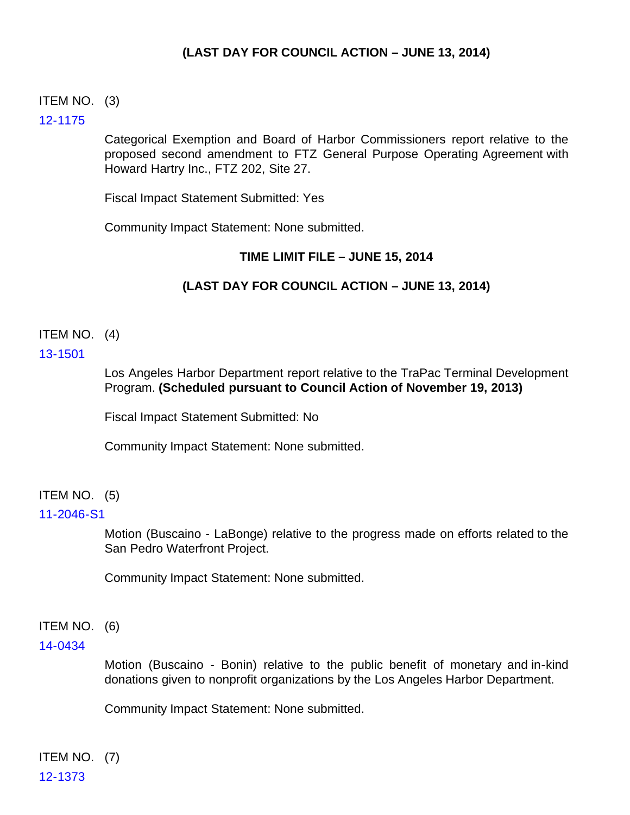# **(LAST DAY FOR COUNCIL ACTION – JUNE 13, 2014)**

## ITEM NO. (3)

## [12-1175](http://cityclerk.lacity.org/lacityclerkconnect/index.cfm?fa=ccfi.viewrecord&cfnumber=12-1175)

Categorical Exemption and Board of Harbor Commissioners report relative to the proposed second amendment to FTZ General Purpose Operating Agreement with Howard Hartry Inc., FTZ 202, Site 27.

Fiscal Impact Statement Submitted: Yes

Community Impact Statement: None submitted.

## **TIME LIMIT FILE – JUNE 15, 2014**

# **(LAST DAY FOR COUNCIL ACTION – JUNE 13, 2014)**

# ITEM NO. (4)

## [13-1501](http://cityclerk.lacity.org/lacityclerkconnect/index.cfm?fa=ccfi.viewrecord&cfnumber=13-1501)

Los Angeles Harbor Department report relative to the TraPac Terminal Development Program. **(Scheduled pursuant to Council Action of November 19, 2013)**

Fiscal Impact Statement Submitted: No

Community Impact Statement: None submitted.

# ITEM NO. (5)

#### [11-2046-S1](http://cityclerk.lacity.org/lacityclerkconnect/index.cfm?fa=ccfi.viewrecord&cfnumber=11-2046-S1)

Motion (Buscaino - LaBonge) relative to the progress made on efforts related to the San Pedro Waterfront Project.

Community Impact Statement: None submitted.

#### ITEM NO. (6)

#### [14-0434](http://cityclerk.lacity.org/lacityclerkconnect/index.cfm?fa=ccfi.viewrecord&cfnumber=14-0434)

Motion (Buscaino - Bonin) relative to the public benefit of monetary and in-kind donations given to nonprofit organizations by the Los Angeles Harbor Department.

Community Impact Statement: None submitted.

ITEM NO. (7) [12-1373](http://cityclerk.lacity.org/lacityclerkconnect/index.cfm?fa=ccfi.viewrecord&cfnumber=12-1373)